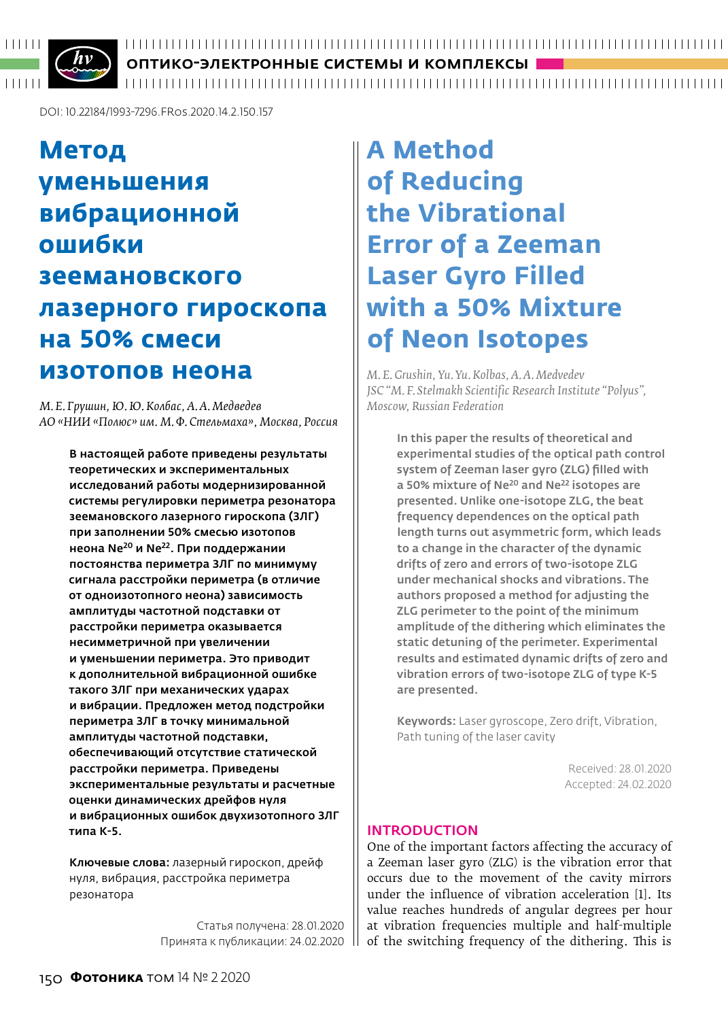

ОПТИКО-ЭЛЕКТРОННЫЕ СИСТЕМЫ И КОМПЛЕКСЫ

DOI: 10.22184/1993-7296.FRos.2020.14.2.150.157

## **Метод уменьшения вибрационной ошибки зеемановского лазерного гироскопа на 50% смеси изотопов неона**

*М. Е. Грушин, Ю.Ю.Колбас, А. А. Медведев АО «НИИ «Полюс» им. М. Ф. Стельмаха», Москва, Россия*

В настоящей работе приведены результаты теоретических и экспериментальных исследований работы модернизированной системы регулировки периметра резонатора зеемановского лазерного гироскопа (ЗЛГ) при заполнении 50% смесью изотопов неона Ne20 и Ne22. При поддержании постоянства периметра ЗЛГ по минимуму сигнала расстройки периметра (в отличие от одноизотопного неона) зависимость амплитуды частотной подставки от расстройки периметра оказывается несимметричной при увеличении и уменьшении периметра. Это приводит к дополнительной вибрационной ошибке такого ЗЛГ при механических ударах и вибрации. Предложен метод подстройки периметра ЗЛГ в точку минимальной амплитуды частотной подставки, обеспечивающий отсутствие статической расстройки периметра. Приведены экспериментальные результаты и расчетные оценки динамических дрейфов нуля и вибрационных ошибок двухизотопного ЗЛГ типа К-5.

Ключевые слова: лазерный гироскоп, дрейф нуля, вибрация, расстройка периметра резонатора

> Статья получена: 28.01.2020 Принята к публикации: 24.02.2020

## **A Method of Reducing the Vibrational Error of a Zeeman Laser Gyro Filled with a 50% Mixture of Neon Isotopes**

*M. E.Grushin, Yu.Yu.Kolbas, A.A. Medvedev JSC "M. F. Stelmakh Scientific Research Institute "Polyus", Moscow, Russian Federation*

> In this paper the results of theoretical and experimental studies of the optical path control system of Zeeman laser gyro (ZLG) filled with a 50% mixture of Ne<sup>20</sup> and Ne<sup>22</sup> isotopes are presented. Unlike one-isotope ZLG, the beat frequency dependences on the optical path length turns out asymmetric form, which leads to a change in the character of the dynamic drifts of zero and errors of two-isotope ZLG under mechanical shocks and vibrations. The authors proposed a method for adjusting the ZLG perimeter to the point of the minimum amplitude of the dithering which eliminates the static detuning of the perimeter. Experimental results and estimated dynamic drifts of zero and vibration errors of two-isotope ZLG of type K-5 are presented.

Keywords: Laser gyroscope, Zero drift, Vibration, Path tuning of the laser cavity

> Received: 28.01.2020 Accepted: 24.02.2020

#### **INTRODUCTION**

One of the important factors affecting the accuracy of a Zeeman laser gyro (ZLG) is the vibration error that occurs due to the movement of the cavity mirrors under the influence of vibration acceleration [1]. Its value reaches hundreds of angular degrees per hour at vibration frequencies multiple and half-multiple of the switching frequency of the dithering. This is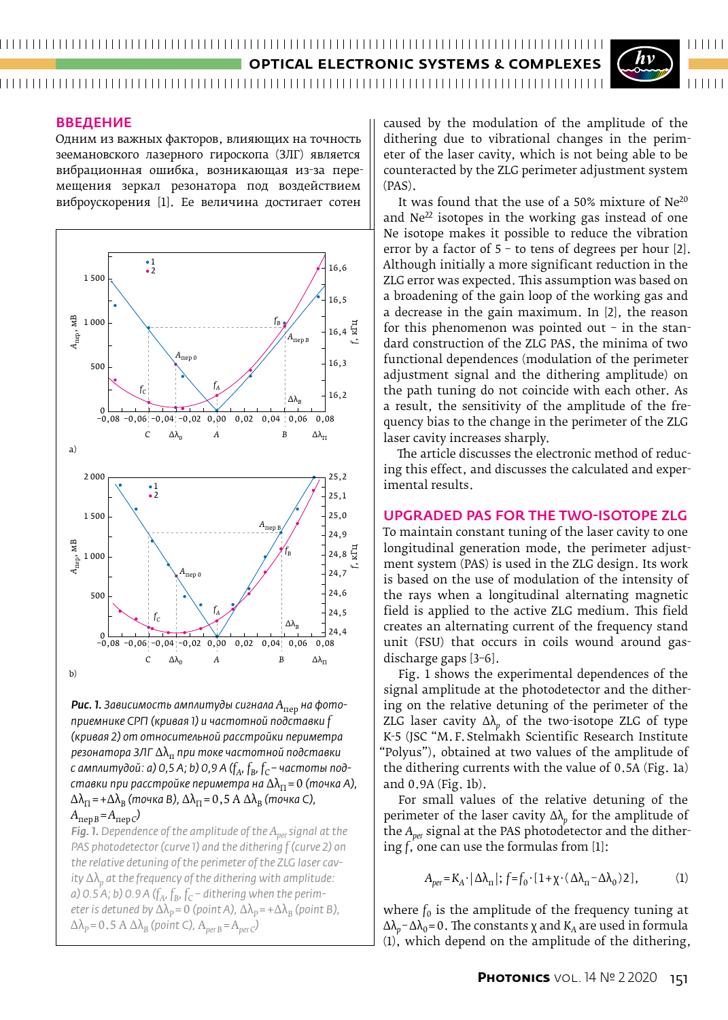### **OPTICAL ELECTRONIC SYSTEMS & C**

#### Введение

Одним из важных факторов, влияющих на точность зеемановского лазерного гироскопа (ЗЛГ) является вибрационная ошибка, возникающая из-за перемещения зеркал резонатора под воздействием виброускорения [1]. Ее величина достигает сотен



*Рис. 1. Зависимость амплитуды сигнала А*пер *на фото‑ приемнике СРП (кривая 1) и частотной подставки f (кривая 2) от относительной расстройки периметра резонатора ЗЛГ* Δλп *при токе частотной подставки с амплитудой: а) 0,5 А; b) 0,9 А (* $f_A$ *,*  $f_B$ *,*  $f_C$  *– частоты подставки при расстройке периметра на*  $\Delta\lambda_{\Pi} = 0$  (точка А),  $\Delta\lambda_{\Pi}$  = + $\Delta\lambda_{\text{B}}$  (точка В),  $\Delta\lambda_{\Pi}$  = 0,5 А  $\Delta\lambda_{\text{B}}$  (точка С),  $A_{\text{nep }B} = A_{\text{nep }C}$ 

*Fig. 1. Dependence of the amplitude of the Aper signal at the PAS photodetector (curve 1) and the dithering*  $f$  *(curve 2) on the relative detuning of the perimeter of the ZLG laser cav‑ ity* Δλ*p at the frequency of the dithering with amplitude: a*) 0.5 A; b) 0.9 A ( $f_A$ ,  $f_B$ ,  $f_C$  – dithering when the perim*eter is detuned by*  $\Delta\lambda_P = 0$  *(point A),*  $\Delta\lambda_P = +\Delta\lambda_B$  *(point B),*  $\Delta\lambda_p = 0.5$  A  $\Delta\lambda_B$  (point C),  $A_{perB} = A_{perC}$ <sup>2</sup>

caused by the modulation of the amplitude of the dithering due to vibrational changes in the perimeter of the laser cavity, which is not being able to be counteracted by the ZLG perimeter adjustment system (PAS).

 $111111$ 

It was found that the use of a 50% mixture of Ne20 and  $Ne^{22}$  isotopes in the working gas instead of one Ne isotope makes it possible to reduce the vibration error by a factor of 5 – to tens of degrees per hour [2]. Although initially a more significant reduction in the ZLG error was expected. This assumption was based on a broadening of the gain loop of the working gas and a decrease in the gain maximum. In [2], the reason for this phenomenon was pointed out  $-$  in the standard construction of the ZLG PAS, the minima of two functional dependences (modulation of the perimeter adjustment signal and the dithering amplitude) on the path tuning do not coincide with each other. As a result, the sensitivity of the amplitude of the frequency bias to the change in the perimeter of the ZLG laser cavity increases sharply.

The article discusses the electronic method of reducing this effect, and discusses the calculated and experimental results.

#### Upgraded PAS for the two-isotope ZLG

To maintain constant tuning of the laser cavity to one longitudinal generation mode, the perimeter adjustment system (PAS) is used in the ZLG design. Its work is based on the use of modulation of the intensity of the rays when a longitudinal alternating magnetic field is applied to the active ZLG medium. This field creates an alternating current of the frequency stand unit (FSU) that occurs in coils wound around gasdischarge gaps [3–6].

Fig. 1 shows the experimental dependences of the signal amplitude at the photodetector and the dithering on the relative detuning of the perimeter of the ZLG laser cavity  $\Delta\lambda_p$  of the two-isotope ZLG of type K-5 (JSC "M.F.Stelmakh Scientific Research Institute "Polyus"), obtained at two values of the amplitude of the dithering currents with the value of 0.5A (Fig. 1a) and 0.9A (Fig. 1b).

For small values of the relative detuning of the perimeter of the laser cavity Δλ*p* for the amplitude of the *Aper* signal at the PAS photodetector and the dithering *f*, one can use the formulas from [1]:

$$
A_{per} = K_A \cdot |\Delta \lambda_{\text{tr}}|; f = f_0 \cdot [1 + \chi \cdot (\Delta \lambda_{\text{tr}} - \Delta \lambda_0) 2], \tag{1}
$$

where  $f_0$  is the amplitude of the frequency tuning at  $Δλ<sub>p</sub> - Δλ<sub>0</sub> = 0$ . The constants x and  $K<sub>A</sub>$  are used in formula (1), which depend on the amplitude of the dithering,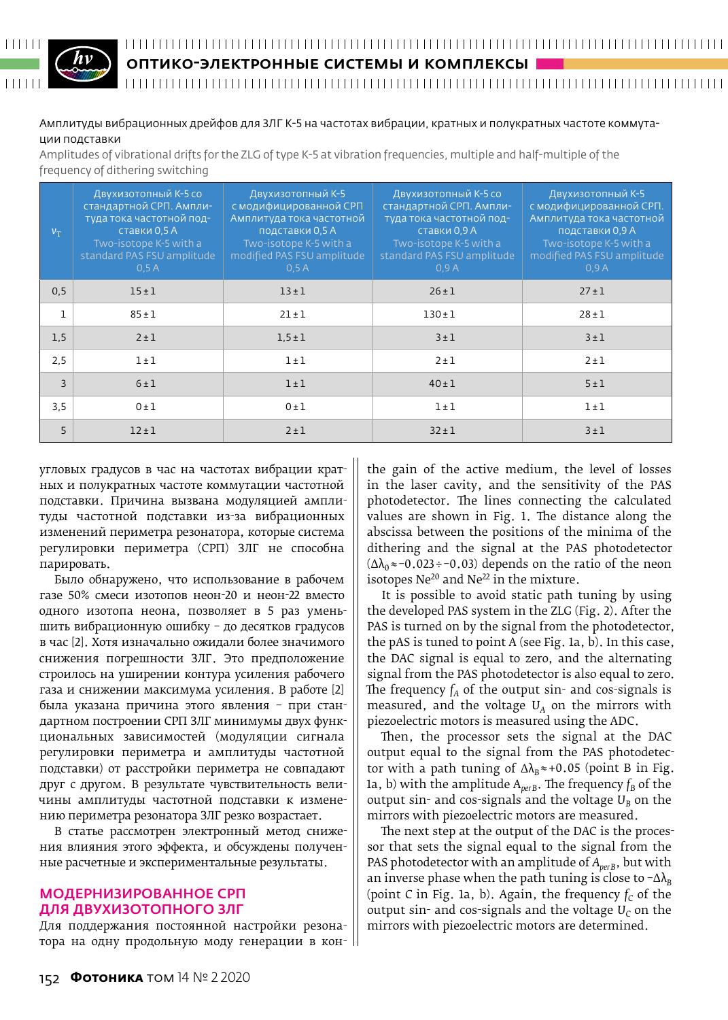# $\begin{array}{c|c|c|c|c|c} \hline \textbf{1} & \textbf{1} & \textbf{1} & \textbf{1} & \textbf{1} & \textbf{1} \\ \hline \end{array}$

#### ОПТИКО-ЭЛЕКТРОННЫЕ СИСТЕМЫ И КОМПЛЕКСЫ

#### Амплитуды вибрационных дрейфов для ЗЛГ К-5 на частотах вибрации, кратных и полукратных частоте коммутации подставки

Amplitudes of vibrational drifts for the ZLG of type K‑5 at vibration frequencies, multiple and half-multiple of the frequency of dithering switching

| $v_T$          | Двухизотопный К-5 со<br>стандартной СРП. Ампли-<br>туда тока частотной под-<br>ставки 0,5 А<br>Two-isotope K-5 with a<br>standard PAS FSU amplitude<br>0.5A | Двухизотопный К-5<br>с модифицированной СРП<br>Амплитуда тока частотной<br>подставки 0,5 А<br>Two-isotope K-5 with a<br>modified PAS FSU amplitude<br>0.5A | Двухизотопный К-5 со<br>стандартной СРП. Ампли-<br>туда тока частотной под-<br>ставки 0,9 А<br>Two-isotope K-5 with a<br>standard PAS FSU amplitude<br>0.9A | Двухизотопный К-5<br>с модифицированной СРП.<br>Амплитуда тока частотной<br>подставки 0,9 А<br>Two-isotope K-5 with a<br>modified PAS FSU amplitude<br>0.9A |
|----------------|-------------------------------------------------------------------------------------------------------------------------------------------------------------|------------------------------------------------------------------------------------------------------------------------------------------------------------|-------------------------------------------------------------------------------------------------------------------------------------------------------------|-------------------------------------------------------------------------------------------------------------------------------------------------------------|
| 0,5            | 15±1                                                                                                                                                        | $13 \pm 1$                                                                                                                                                 | $26 \pm 1$                                                                                                                                                  | $27 \pm 1$                                                                                                                                                  |
| $\mathbf{1}$   | $85 \pm 1$                                                                                                                                                  | $21 \pm 1$                                                                                                                                                 | $130 \pm 1$                                                                                                                                                 | $28 + 1$                                                                                                                                                    |
| 1,5            | $2 \pm 1$                                                                                                                                                   | $1,5 \pm 1$                                                                                                                                                | 3±1                                                                                                                                                         | 3±1                                                                                                                                                         |
| 2,5            | $1 \pm 1$                                                                                                                                                   | $1 \pm 1$                                                                                                                                                  | $2 \pm 1$                                                                                                                                                   | $2 \pm 1$                                                                                                                                                   |
| $\overline{3}$ | 6±1                                                                                                                                                         | $1 \pm 1$                                                                                                                                                  | $40 \pm 1$                                                                                                                                                  | 5±1                                                                                                                                                         |
| 3,5            | 0±1                                                                                                                                                         | 0±1                                                                                                                                                        | $1 \pm 1$                                                                                                                                                   | $1 \pm 1$                                                                                                                                                   |
| 5              | $12 + 1$                                                                                                                                                    | $2 \pm 1$                                                                                                                                                  | $32 + 1$                                                                                                                                                    | 3±1                                                                                                                                                         |

угловых градусов в час на частотах вибрации кратных и полукратных частоте коммутации частотной подставки. Причина вызвана модуляцией амплитуды частотной подставки из-за вибрационных изменений периметра резонатора, которые система регулировки периметра (СРП) ЗЛГ не способна парировать.

Было обнаружено, что использование в рабочем газе 50% смеси изотопов неон-20 и неон-22 вместо одного изотопа неона, позволяет в 5 раз уменьшить вибрационную ошибку – до десятков градусов в час [2]. Хотя изначально ожидали более значимого снижения погрешности ЗЛГ. Это предположение строилось на уширении контура усиления рабочего газа и снижении максимума усиления. В работе [2] была указана причина этого явления – при стандартном построении СРП ЗЛГ минимумы двух функциональных зависимостей (модуляции сигнала регулировки периметра и амплитуды частотной подставки) от расстройки периметра не совпадают друг с другом. В результате чувствительность величины амплитуды частотной подставки к изменению периметра резонатора ЗЛГ резко возрастает.

В статье рассмотрен электронный метод снижения влияния этого эффекта, и обсуждены полученные расчетные и экспериментальные результаты.

#### Модернизированное СРП для двухизотопного ЗЛГ

Для поддержания постоянной настройки резонатора на одну продольную моду генерации в кон-

the gain of the active medium, the level of losses in the laser cavity, and the sensitivity of the PAS photodetector. The lines connecting the calculated values are shown in Fig. 1. The distance along the abscissa between the positions of the minima of the dithering and the signal at the PAS photodetector  $(\Delta\lambda_0 \approx -0.023 \div -0.03)$  depends on the ratio of the neon isotopes  $Ne^{20}$  and  $Ne^{22}$  in the mixture.

It is possible to avoid static path tuning by using the developed PAS system in the ZLG (Fig. 2). After the PAS is turned on by the signal from the photodetector, the pAS is tuned to point A (see Fig. 1a, b). In this case, the DAC signal is equal to zero, and the alternating signal from the PAS photodetector is also equal to zero. The frequency  $f_A$  of the output sin- and cos-signals is measured, and the voltage  $U_A$  on the mirrors with piezoelectric motors is measured using the ADC.

Then, the processor sets the signal at the DAC output equal to the signal from the PAS photodetector with a path tuning of  $\Delta\lambda_B \approx +0.05$  (point B in Fig. 1a, b) with the amplitude  $A_{perB}$ . The frequency  $f_B$  of the output sin- and cos-signals and the voltage  $U_B$  on the mirrors with piezoelectric motors are measured.

The next step at the output of the DAC is the processor that sets the signal equal to the signal from the PAS photodetector with an amplitude of A<sub>perB</sub>, but with an inverse phase when the path tuning is close to  $-\Delta\lambda_B$ (point *C* in Fig. 1a, b). Again, the frequency  $f_c$  of the output sin- and cos-signals and the voltage  $U_c$  on the mirrors with piezoelectric motors are determined.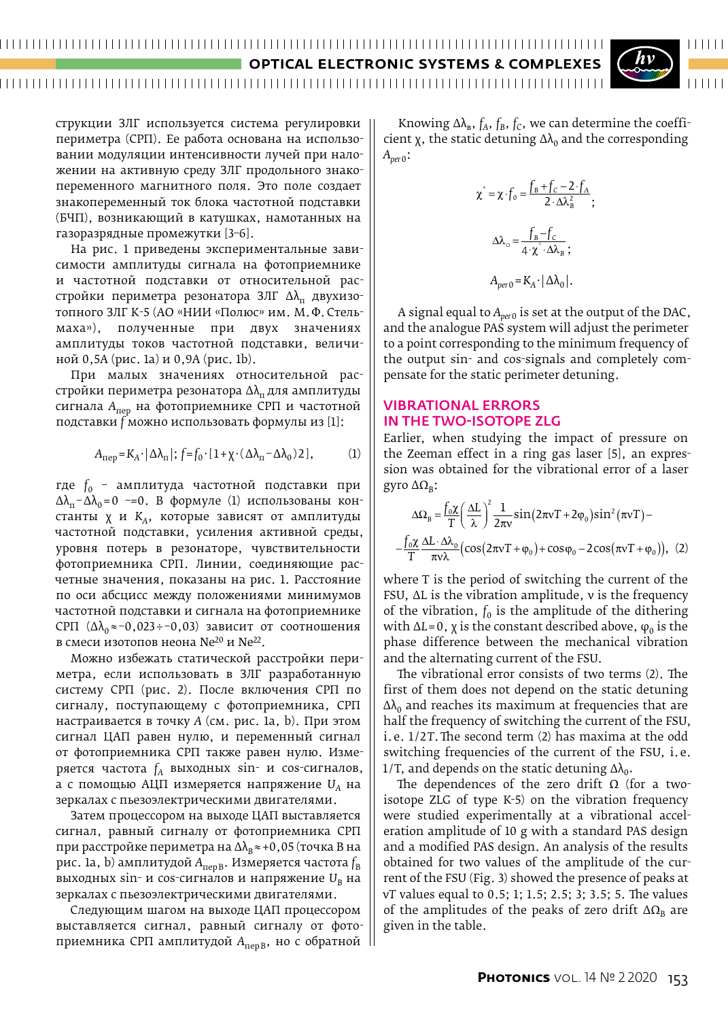#### 

**OPTICAL ELECTRONIC SYSTEMS & C** 

#### 



струкции ЗЛГ используется система регулировки периметра (СРП). Ее работа основана на использовании модуляции интенсивности лучей при наложении на активную среду ЗЛГ продольного знакопеременного магнитного поля. Это поле создает знакопеременный ток блока частотной подставки (БЧП), возникающий в катушках, намотанных на газоразрядные промежутки [3–6].

На рис. 1 приведены экспериментальные зависимости амплитуды сигнала на фотоприемнике и частотной подставки от относительной расстройки периметра резонатора ЗЛГ  $\Delta\lambda_{\text{m}}$  двухизотопного ЗЛГ К-5 (АО «НИИ «Полюс» им. М.Ф.Стельмаха»), полученные при двух значениях амплитуды токов частотной подставки, величиной 0,5А (рис. 1а) и 0,9А (рис. 1b).

При малых значениях относительной расстройки периметра резонатора  $\Delta\lambda_{\text{n}}$  для амплитуды сигнала *А*пер на фотоприемнике СРП и частотной подставки *f* можно использовать формулы из [1]:

$$
A_{\text{rep}} = K_A \cdot |\Delta \lambda_{\text{r}}|; f = f_0 \cdot [1 + \chi \cdot (\Delta \lambda_{\text{r}} - \Delta \lambda_0) 2], \tag{1}
$$

где *f*0 – амплитуда частотной подставки при  $\Delta\lambda_{\rm n}$ - $\Delta\lambda_{\rm 0}$ =0 -=0. В формуле (1) использованы константы χ и *KA*, которые зависят от амплитуды частотной подставки, усиления активной среды, уровня потерь в резонаторе, чувствительности фотоприемника СРП. Линии, соединяющие расчетные значения, показаны на рис. 1. Расстояние по оси абсцисс между положениями минимумов частотной подставки и сигнала на фотоприемнике CPП  $(∆\lambda_0 \approx 0.023 \div 0.03)$  зависит от соотношения в смеси изотопов неона Ne<sup>20</sup> и Ne<sup>22</sup>.

Можно избежать статической расстройки периметра, если использовать в ЗЛГ разработанную систему СРП (рис. 2). После включения СРП по сигналу, поступающему с фотоприемника, СРП настраивается в точку *А* (см. рис. 1а, b). При этом сигнал ЦАП равен нулю, и переменный сигнал от фотоприемника СРП также равен нулю. Измеряется частота  $f_A$  выходных sin- и cos-сигналов, а с помощью АЦП измеряется напряжение *UA* на зеркалах с пьезоэлектрическими двигателями.

Затем процессором на выходе ЦАП выставляется сигнал, равный сигналу от фотоприемника СРП при расстройке периметра на Δλ<sub>в</sub>≈+0,05 (точка В на рис. 1а, b) амплитудой A<sub>перВ</sub>. Измеряется частота f<sub>B</sub> выходных sin- и соs-сигналов и напряжение U<sub>B</sub> на зеркалах с пьезоэлектрическими двигателями.

Следующим шагом на выходе ЦАП процессором выставляется сигнал, равный сигналу от фотоприемника СРП амплитудой A<sub>перВ</sub>, но с обратной

Knowing  $\Delta\lambda_{\rm B}$ ,  $f_{\rm A}$ ,  $f_{\rm B}$ ,  $f_{\rm C}$ , we can determine the coefficient  $\chi$ , the static detuning  $\Delta\lambda_0$  and the corresponding *Aper*0:

$$
\chi^* = \chi \cdot f_0 = \frac{f_B + f_C - 2 \cdot f_A}{2 \cdot \Delta \lambda_B^2};
$$

$$
\Delta \lambda_o = \frac{f_B - f_C}{4 \cdot \chi^* \cdot \Delta \lambda_B};
$$

$$
A_{per0} = K_A \cdot |\Delta \lambda_0|.
$$

A signal equal to  $A_{per0}$  is set at the output of the DAC, and the analogue PAS system will adjust the perimeter to a point corresponding to the minimum frequency of the output sin- and cos-signals and completely compensate for the static perimeter detuning.

#### Vibrational errors in the two-isotope ZLG

Earlier, when studying the impact of pressure on the Zeeman effect in a ring gas laser [5], an expression was obtained for the vibrational error of a laser gyro  $ΔΩ<sub>B</sub>$ :

$$
\Delta\Omega_{\rm B} = \frac{f_0 \chi}{T} \left(\frac{\Delta L}{\lambda}\right)^2 \frac{1}{2\pi v} \sin(2\pi v T + 2\varphi_0) \sin^2(\pi v T) -
$$

$$
-\frac{f_0 \chi}{T} \frac{\Delta L \cdot \Delta\lambda_0}{\pi v \lambda} \left(\cos(2\pi v T + \varphi_0) + \cos\varphi_0 - 2\cos(\pi v T + \varphi_0)\right), (2)
$$

where T is the period of switching the current of the FSU, ΔL is the vibration amplitude, ν is the frequency of the vibration,  $f_0$  is the amplitude of the dithering with ΔL=0,  $\chi$  is the constant described above,  $\varphi_0$  is the phase difference between the mechanical vibration and the alternating current of the FSU.

The vibrational error consists of two terms (2). The first of them does not depend on the static detuning  $\Delta\lambda_0$  and reaches its maximum at frequencies that are half the frequency of switching the current of the FSU, i.e. 1/2T. The second term (2) has maxima at the odd switching frequencies of the current of the FSU, i.e. 1/T, and depends on the static detuning  $\Delta\lambda_0$ .

The dependences of the zero drift  $\Omega$  (for a twoisotope ZLG of type K-5) on the vibration frequency were studied experimentally at a vibrational acceleration amplitude of 10 g with a standard PAS design and a modified PAS design. An analysis of the results obtained for two values of the amplitude of the current of the FSU (Fig. 3) showed the presence of peaks at ν*Т* values equal to 0.5; 1; 1.5; 2.5; 3; 3.5; 5. The values of the amplitudes of the peaks of zero drift  $\Delta\Omega_B$  are given in the table.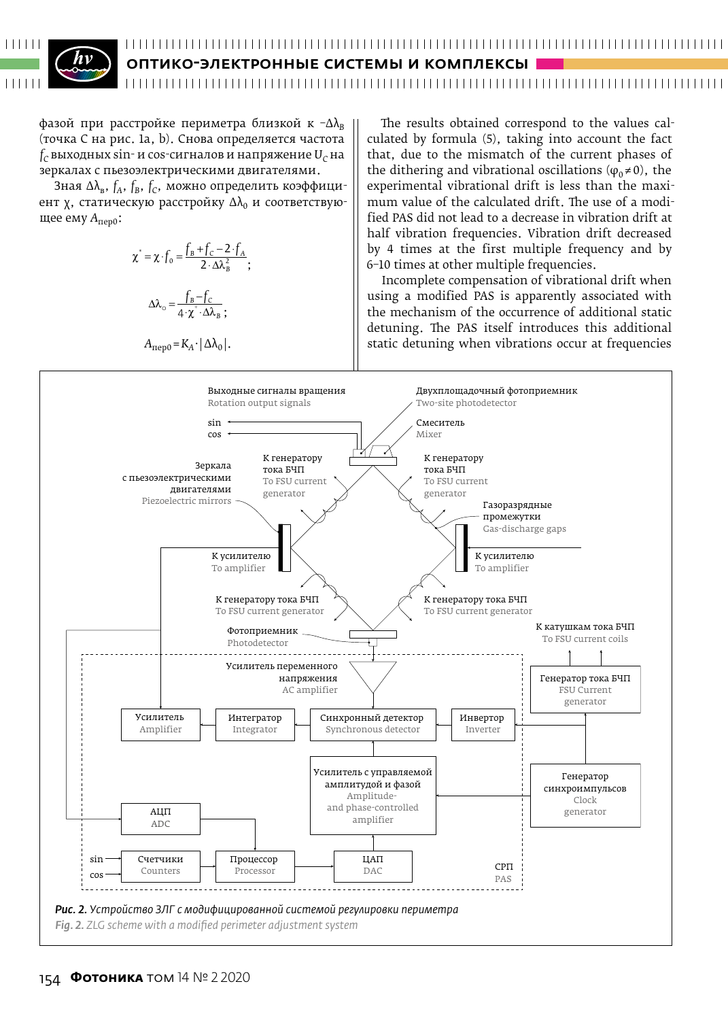#### 

ОПТИКО-ЭЛЕКТРОННЫЕ СИСТЕМЫ И КОМПЛЕКСЫ

 $\phi$ азой при расстройке периметра близкой к  $-\Delta\lambda_{\rm B}$ (точка С на рис. 1а, b). Снова определяется частота  $f_C$  выходных sin- и cos-сигналов и напряжение  $U_C$  на зеркалах с пьезоэлектрическими двигателями.

Зная Δλ<sub>в</sub>, *f<sub>A</sub>*, *f<sub>B</sub>*, *f<sub>C</sub>*, можно определить коэффициент  $\chi$ , статическую расстройку  $\Delta\lambda_0$  и соответствующее ему *A*пер0:

$$
\chi^* = \chi \cdot f_0 = \frac{f_B + f_C - 2 \cdot f_A}{2 \cdot \Delta \lambda_B^2};
$$

$$
\Delta \lambda_o = \frac{f_B - f_C}{4 \cdot \chi^* \cdot \Delta \lambda_B};
$$

$$
A_{\text{nevo}} = K_A \cdot |\Delta \lambda_0|.
$$

The results obtained correspond to the values cal-  
culated by formula (5), taking into account the fact  
that, due to the mismatch of the current phases of  
the dithering and vibrational oscillations (
$$
\varphi_0 \neq 0
$$
), the  
experimental vibrational drift is less than the maxi-  
mum value of the calculated drift. The use of a modi-  
fied PAS did not lead to a decrease in vibration drift at  
half vibration frequencies. Vibration drift decreased  
by 4 times at the first multiple frequency and by  
6-10 times at other multiple frequencies.

Incomplete compensation of vibrational drift when using a modified PAS is apparently associated with the mechanism of the occurrence of additional static detuning. The PAS itself introduces this additional static detuning when vibrations occur at frequencies

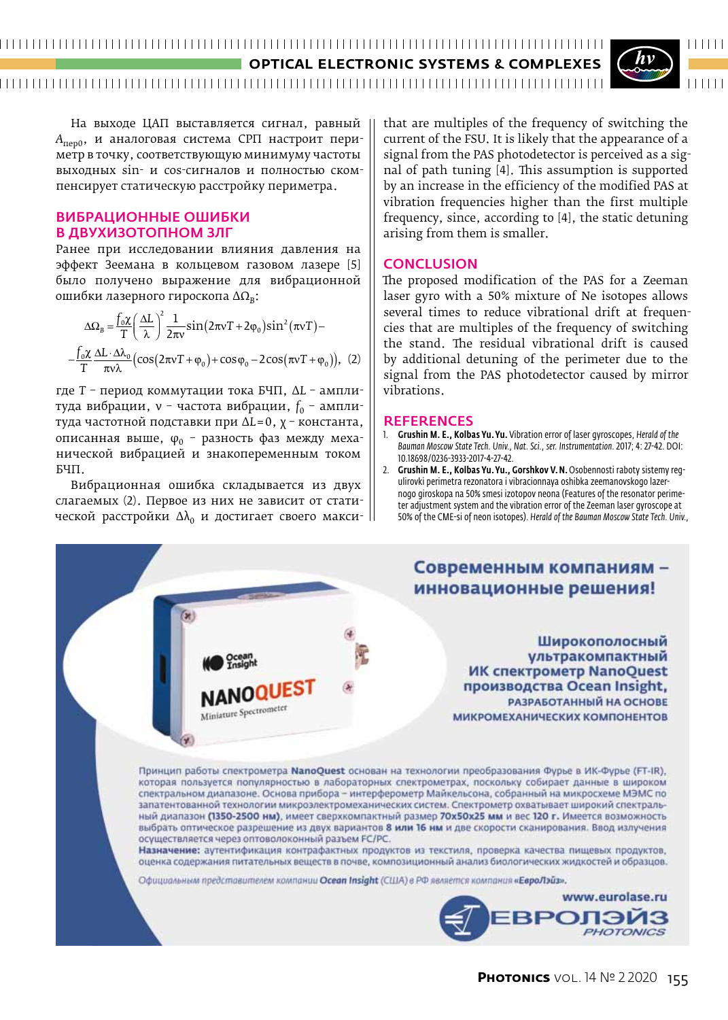#### **OPTICAL ELECTRONIC SYSTEMS & COMPLEXES**



На выходе ЦАП выставляется сигнал, равный *A*пер0, и аналоговая система СРП настроит периметр в точку, соответствующую минимуму частоты выходных sin- и cos-сигналов и полностью скомпенсирует статическую расстройку периметра.

#### Вибрационные ошибки в двухизотопном ЗЛГ

Ранее при исследовании влияния давления на эффект Зеемана в кольцевом газовом лазере [5] было получено выражение для вибрационной ошибки лазерного гироскопа ΔΩ*В*:

$$
\Delta\Omega_{\rm B} = \frac{f_0 \chi}{T} \left(\frac{\Delta L}{\lambda}\right)^2 \frac{1}{2\pi v} \sin(2\pi v T + 2\varphi_0) \sin^2(\pi v T) -
$$

$$
-\frac{f_0 \chi}{T} \frac{\Delta L \cdot \Delta \lambda_0}{\pi v \lambda} \left(\cos(2\pi v T + \varphi_0) + \cos\varphi_0 - 2\cos(\pi v T + \varphi_0)\right), \tag{2}
$$

где *Т* – период коммутации тока БЧП, Δ*L* – амплитуда вибрации, v - частота вибрации,  $f_0$  - амплитуда частотной подставки при Δ*L*=0, χ – константа, описанная выше,  $\varphi_0$  - разность фаз между механической вибрацией и знакопеременным током БЧП.

Вибрационная ошибка складывается из двух слагаемых (2). Первое из них не зависит от статической расстройки  $\Delta\lambda_0$  и достигает своего максиthat are multiples of the frequency of switching the current of the FSU. It is likely that the appearance of a signal from the PAS photodetector is perceived as a signal of path tuning [4]. This assumption is supported by an increase in the efficiency of the modified PAS at vibration frequencies higher than the first multiple frequency, since, according to [4], the static detuning arising from them is smaller.

#### **CONCLUSION**

The proposed modification of the PAS for a Zeeman laser gyro with a 50% mixture of Ne isotopes allows several times to reduce vibrational drift at frequencies that are multiples of the frequency of switching the stand. The residual vibrational drift is caused by additional detuning of the perimeter due to the signal from the PAS photodetector caused by mirror vibrations.

#### **REFERENCES**

- 1. Grushin M. E., Kolbas Yu.Yu. Vibration error of laser gyroscopes, *Herald of the Bauman Moscow State Tech. Univ., Nat. Sci., ser. Instrumentation.* 2017; 4: 27-42. DOI: 10.18698/0236-3933-2017-4-27-42.
- 2. Grushin M. E., Kolbas Yu. Yu., Gorshkov V. N. Osobennosti raboty sistemy regulirovki perimetra rezonatora i vibracionnaya oshibka zeemanovskogo lazernogo giroskopa na 50% smesi izotopov neona (Features of the resonator perimeter adjustment system and the vibration error of the Zeeman laser gyroscope at 50% of the CME-si of neon isotopes). *Herald of the Bauman Moscow State Tech. Univ.,*

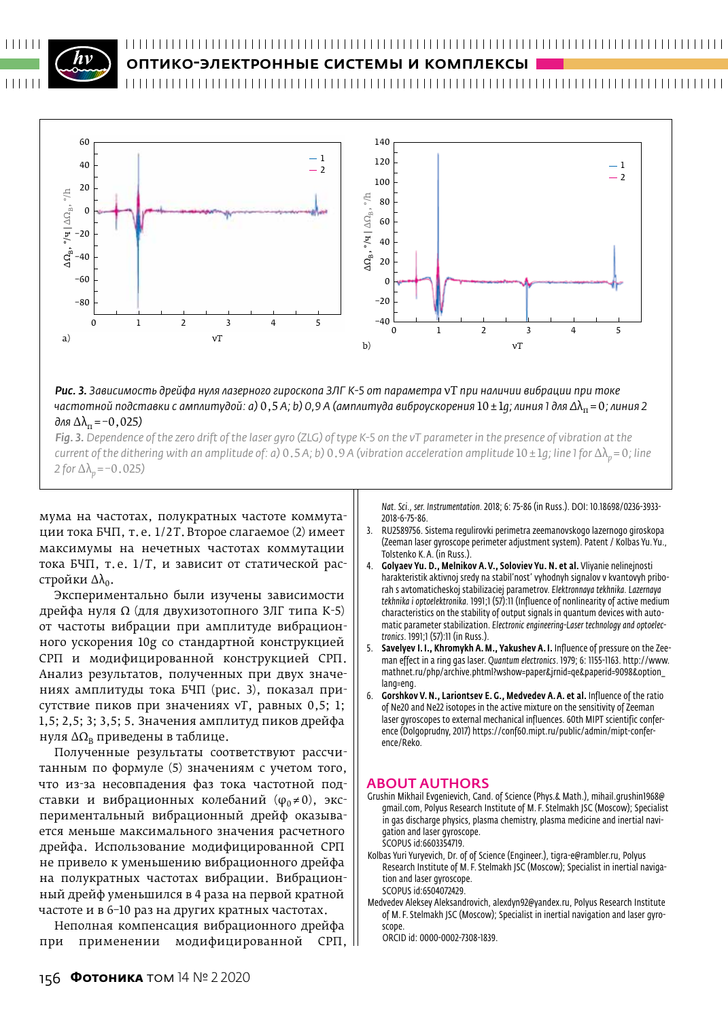

#### ОПТИКО-ЭЛЕКТРОННЫЕ СИСТЕМЫ И КОМПЛЕКСЫ



*Рис. 3. Зависимость дрейфа нуля лазерного гироскопа ЗЛГ К‑5 от параметра* ν*Т при наличии вибрации при токе частотной подставки с амплитудой: а)* 0,5 *А; b) 0,9 А (амплитуда виброускорения* 10±1*g; линия 1 для Δ*λп =0*; линия 2*   $\partial$ ля  $\Delta\lambda$ <sub>π</sub> = -0,025)

*Fig. 3. Dependence of the zero drift of the laser gyro (ZLG) of type K‑5 on the νT parameter in the presence of vibration at the current of the dithering with an amplitude of: a)* 0.5*A; b)* 0.9*A* (vibration acceleration amplitude  $10 ± 1q$ ; line 1 for Δλ<sub>n</sub>=0; line *2* for  $\Delta\lambda$ <sub>*p*</sub> = –0.025*)* 

мума на частотах, полукратных частоте коммутации тока БЧП, т.е. 1 / 2*Т*.Второе слагаемое (2) имеет максимумы на нечетных частотах коммутации тока БЧП, т.е. 1/T, и зависит от статической расстройки  $Δλ<sub>0</sub>$ .

Экспериментально были изучены зависимости дрейфа нуля Ω (для двухизотопного ЗЛГ типа К-5) от частоты вибрации при амплитуде вибрационного ускорения 10g со стандартной конструкцией СРП и модифицированной конструкцией СРП. Анализ результатов, полученных при двух значениях амплитуды тока БЧП (рис. 3), показал присутствие пиков при значениях ν*Т*, равных 0,5; 1; 1,5; 2,5; 3; 3,5; 5. Значения амплитуд пиков дрейфа нуля  $\Delta\Omega_{\text{B}}$  приведены в таблице.

Полученные результаты соответствуют рассчитанным по формуле (5) значениям с учетом того, что из-за несовпадения фаз тока частотной подставки и вибрационных колебаний  $(\varphi_0 \neq 0)$ , экспериментальный вибрационный дрейф оказывается меньше максимального значения расчетного дрейфа. Использование модифицированной СРП не привело к уменьшению вибрационного дрейфа на полукратных частотах вибрации. Вибрационный дрейф уменьшился в 4 раза на первой кратной частоте и в 6–10 раз на других кратных частотах.

Неполная компенсация вибрационного дрейфа при применении модифицированной СРП, *Nat. Sci., ser. Instrumentation.* 2018; 6: 75-86 (in Russ.). DOI: 10.18698/0236-3933- 2018-6-75-86.

- 3. RU2589756. Sistema regulirovki perimetra zeemanovskogo lazernogo giroskopa (Zeeman laser gyroscope perimeter adjustment system). Patent / Kolbas Yu. Yu., Tolstenko K. A. (in Russ.).
- 4. Golyaev Yu. D., Melnikov A.V., Soloviev Yu. N. et al. Vliyanie nelinejnosti harakteristik aktivnoj sredy na stabil'nost' vyhodnyh signalov v kvantovyh priborah s avtomaticheskoj stabilizaciej parametrov. *Elektronnaya tekhnika. Lazernaya tekhnika i optoelektronika.* 1991;1 (57):11 (Influence of nonlinearity of active medium characteristics on the stability of output signals in quantum devices with automatic parameter stabilization. *Electronic engineering-Laser technology and optoelectronics*. 1991;1 (57):11 (in Russ.).
- 5. Savelyev I. I., Khromykh A.M., Yakushev A. I. Influence of pressure on the Zeeman effect in a ring gas laser. *Quantum electronics*. 1979; 6: 1155-1163. http://www. mathnet.ru/php/archive.phtml?wshow=paper&jrnid=qe&paperid=9098&option\_ lang=eng.
- 6. Gorshkov V.N., Lariontsev E. G., Medvedev A.A. et al. Influence of the ratio of Ne20 and Ne22 isotopes in the active mixture on the sensitivity of Zeeman laser gyroscopes to external mechanical influences. 60th MIPT scientific conference (Dolgoprudny, 2017) https://conf60.mipt.ru/public/admin/mipt-conference/Reko.

#### ABOUT AUTHORS

- Grushin Mikhail Evgenievich, Cand. of Science (Phys.& Math.), mihail.grushin1968@ gmail.com, Polyus Research Institute of M. F. Stelmakh JSC (Moscow); Specialist in gas discharge physics, plasma chemistry, plasma medicine and inertial navigation and laser gyroscope. SCOPUS id:6603354719.
- Kolbas Yuri Yuryevich, Dr. of of Science (Engineer.), tigra-e@rambler.ru, Polyus Research Institute of M. F. Stelmakh JSC (Moscow); Specialist in inertial navigation and laser gyroscope. SCOPUS id:6504072429.
- Medvedev Aleksey Aleksandrovich, alexdyn92@yandex.ru, Polyus Research Institute of M. F. Stelmakh JSC (Moscow); Specialist in inertial navigation and laser gyroscope.

ORCID id: 0000-0002-7308-1839.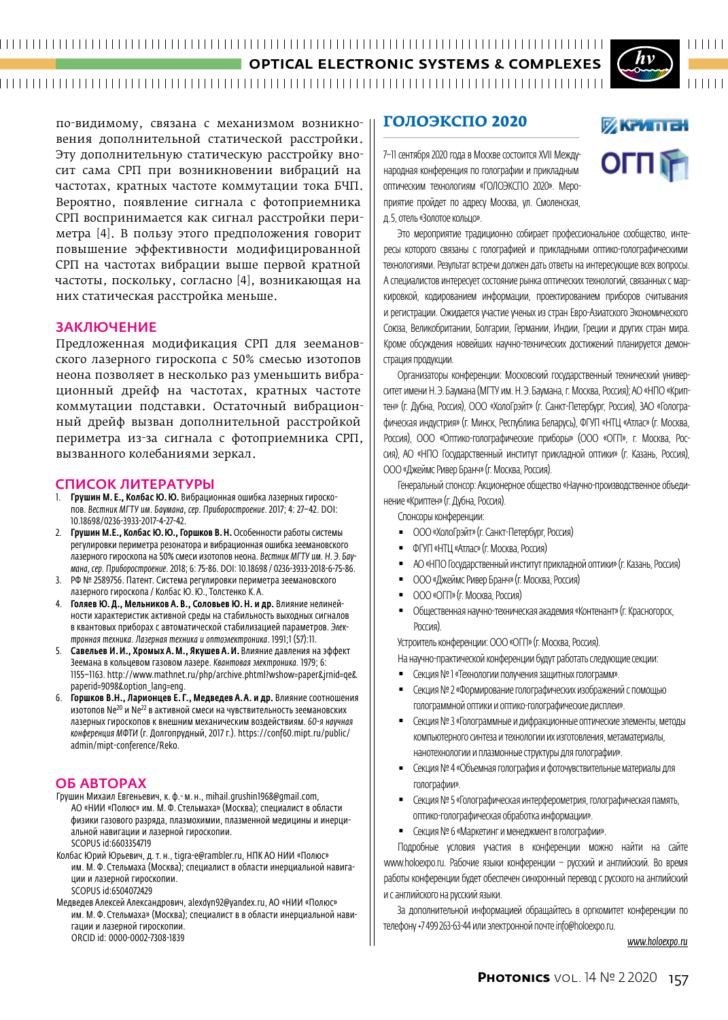по-видимому, связана с механизмом возникновения дополнительной статической расстройки. Эту дополнительную статическую расстройку вносит сама СРП при возникновении вибраций на частотах, кратных частоте коммутации тока БЧП. Вероятно, появление сигнала с фотоприемника СРП воспринимается как сигнал расстройки периметра [4]. В пользу этого предположения говорит повышение эффективности модифицированной СРП на частотах вибрации выше первой кратной частоты, поскольку, согласно [4], возникающая на них статическая расстройка меньше.

#### **ЗАКЛЮЧЕНИЕ**

Предложенная модификация СРП для зеемановского лазерного гироскопа с 50% смесью изотопов неона позволяет в несколько раз уменьшить вибрационный дрейф на частотах, кратных частоте коммутации подставки. Остаточный вибрационный дрейф вызван дополнительной расстройкой периметра из-за сигнала с фотоприемника СРП, вызванного колебаниями зеркал.

#### СПИСОК ЛИТЕРАТУРЫ

- 1. Грушин М. Е., Колбас Ю. Ю. Вибрационная ошибка лазерных гироскопов. *Вестник МГТУ им. Баумана, сер. Приборостроение*. 2017; 4: 27–42. DOI: 10.18698/0236-3933-2017-4-27-42.
- 2. Грушин М.Е., Колбас Ю.Ю., Горшков В.Н. Особенности работы системы регулировки периметра резонатора и вибрационная ошибка зеемановского лазерного гироскопа на 50% смеси изотопов неона. *Вестник МГТУ им. Н. Э. Баумана, сер. Приборостроение*. 2018; 6: 75-86. DOI: 10.18698 / 0236-3933-2018-6-75-86.
- 3. РФ № 2589756. Патент. Система регулировки периметра зеемановского лазерного гироскопа / Колбас Ю.Ю., Толстенко К.А.
- 4. Голяев Ю.Д., Мельников А. В., Соловьев Ю.Н. и др. Влияние нелинейности характеристик активной среды на стабильность выходных сигналов в квантовых приборах с автоматической стабилизацией параметров. *Электронная техника. Лазерная техника и оптоэлектроника*. 1991;1 (57):11.
- 5. Савельев И.И., Хромых А.М., Якушев А.И. Влияние давления на эффект Зеемана в кольцевом газовом лазере. *Квантовая электроника.* 1979; 6: 1155–1163. http://www.mathnet.ru/php/archive.phtml?wshow=paper&jrnid=qe& paperid=9098&option\_lang=eng.
- 6. Горшков В.Н., Ларионцев Е. Г., Медведев А.А. и др. Влияние соотношения изотопов Ne<sup>20</sup> и Ne<sup>22</sup> в активной смеси на чувствительность зеемановских лазерных гироскопов к внешним механическим воздействиям. *60-я научная конференция МФТИ* (г. Долгопрудный, 2017 г.). https://conf60.mipt.ru/public/ admin/mipt-conference/Reko.

#### ОБ АВТОРАХ

- Грушин Михаил Евгеньевич, к. ф.- м. н., mihail.grushin1968@gmail.com, АО «НИИ «Полюс» им. М. Ф. Стельмаха» (Москва); специалист в области физики газового разряда, плазмохимии, плазменной медицины и инерциальной навигации и лазерной гироскопии. SCOPUS id:6603354719
- Колбас Юрий Юрьевич, д.т. н., tigra-e@rambler.ru, НПК АО НИИ «Полюс» им. М. Ф. Стельмаха (Москва); специалист в области инерциальной навигации и лазерной гироскопии. SCOPUS id:6504072429

Медведев Алексей Александрович, alexdyn92@yandex.ru, АО «НИИ «Полюс» им. М. Ф. Стельмаха» (Москва); специалист в в области инерциальной навигации и лазерной гироскопии. ORCID id: 0000-0002-7308-1839

#### **ГОЛОЭКСПО 2020**

7–11 сентября 2020 года в Москве состоится XVII Международная конференция по голографии и прикладным оптическим технологиям «ГОЛОЭКСПО 2020». Мероприятие пройдет по адресу Москва, ул. Смоленская, д.5, отель «Золотое кольцо».

Это мероприятие традиционно собирает профессиональное сообщество, интересы которого связаны с голографией и прикладными оптико-голографическими технологиями. Результат встречи должен дать ответы на интересующие всех вопросы. А специалистов интересует состояние рынка оптических технологий, связанных с маркировкой, кодированием информации, проектированием приборов считывания и регистрации. Ожидается участие ученых из стран Евро-Азиатского Экономического Союза, Великобритании, Болгарии, Германии, Индии, Греции и других стран мира. Кроме обсуждения новейших научно-технических достижений планируется демонстрация продукции.

Организаторы конференции: Московский государственный технический университет имени Н.Э.Баумана (МГТУ им. Н.Э.Баумана, г.Москва, Россия); АО «НПО «Криптен» (г. Дубна, Россия), ООО «ХолоГрэйт» (г. Санкт-Петербург, Россия), ЗАО «Голографическая индустрия» (г. Минск, Республика Беларусь), ФГУП «НТЦ «Атлас» (г. Москва, Россия), ООО «Оптико-голографические приборы» (ООО «ОГП», г. Москва, Россия), АО «НПО Государственный институт прикладной оптики» (г. Казань, Россия), ООО«Джеймс Ривер Бранч» (г.Москва, Россия).

Генеральный спонсор: Акционерное общество «Научно-производственное объединение «Криптен» (г. Дубна, Россия).

#### Cпонсоры конференции:

- **ООО «ХолоГрэйт» (г. Санкт-Петербург, Россия)**
- ФГУП «НТЦ «Атлас» (г.Москва, Россия)
- АО «НПО Государственный институт прикладной оптики» (г. Казань, Россия)
- ООО «Джеймс Ривер Бранч» (г. Москва, Россия)
- ООО «ОГП» (г. Москва, Россия)
- Общественная научно-техническая академия «Контенант» (г. Красногорск, Россия).

Устроитель конференции: ООО «ОГП» (г.Москва, Россия).

На научно-практической конференции будут работать следующие секции:

- Секция №1 «Технологии получения защитных голограмм».
- Секция №2 «Формирование голографических изображений с помощью голограммной оптики и оптико-голографические дисплеи».
- Секция № 3 «Голограммные и дифракционные оптические элементы, методы компьютерного синтеза и технологии их изготовления, метаматериалы, нанотехнологии и плазмонные структуры для голографии».
- Секция №4 «Объемная голография и фоточувствительные материалы для голографии».
- Секция №5 «Голографическая интерферометрия, голографическая память, оптико-голографическая обработка информации».
- Секция №6 «Маркетинг и менеджмент в голографии».

Подробные условия участия в конференции можно найти на сайте www.holoexpo.ru. Рабочие языки конференции – русский и английский. Во время работы конференции будет обеспечен синхронный перевод с русского на английский и санглийского на русский языки.

За дополнительной информацией обращайтесь в оргкомитет конференции по телефону +7 499 263-63-44 или электронной почте info@holoexpo.ru.

#### *www.holoexpo.ru*



**ИКРИПЕН** 

OLULE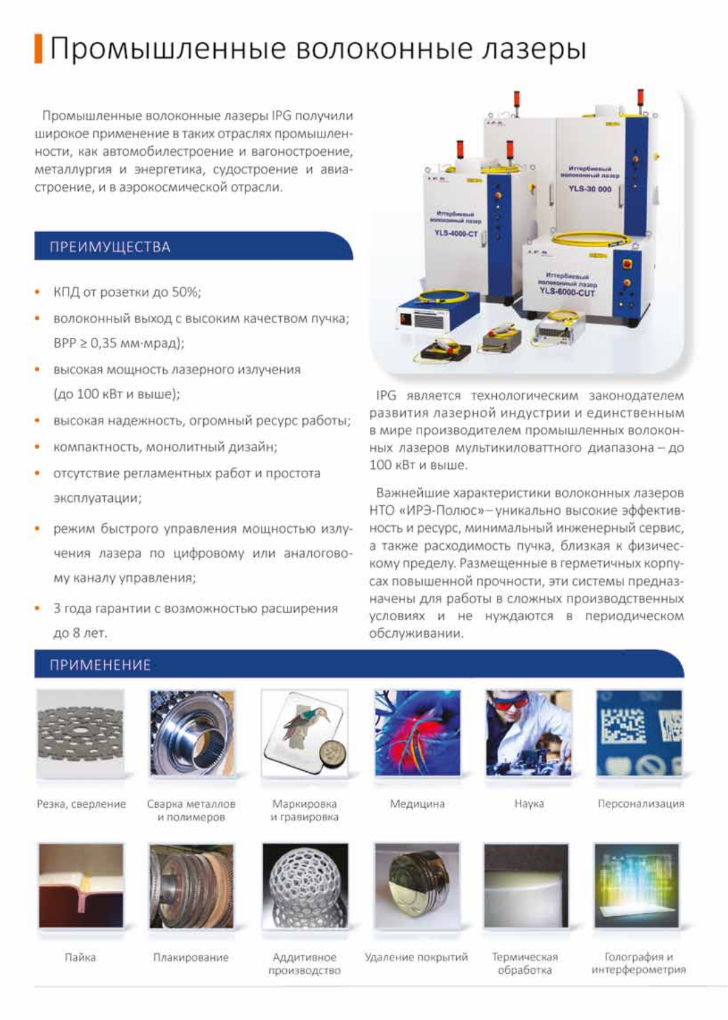## Промышленные волоконные лазеры

Промышленные волоконные лазеры IPG получили широкое применение в таких отраслях промышленности, как автомобилестроение и вагоностроение, металлургия и энергетика, судостроение и авиастроение, и в аэрокосмической отрасли.

#### ПРЕИМУЩЕСТВА

- КПД от розетки до 50%;
- волоконный выход с высоким качеством пучка; ВРР ≥ 0,35 мм⋅мрад);
- высокая мощность лазерного излучения (до 100 кВт и выше);
- высокая надежность, огромный ресурс работы; ٠
- компактность, монолитный дизайн;
- отсутствие регламентных работ и простота эксплуатации;
- режим быстрого управления мощностью излучения лазера по цифровому или аналоговому каналу управления;
- 3 года гарантии с возможностью расширения до 8 лет.



IPG является технологическим законодателем развития лазерной индустрии и единственным в мире производителем промышленных волоконных лазеров мультикиловаттного диапазона - до 100 кВт и выше.

Важнейшие характеристики волоконных лазеров НТО «ИРЭ-Полюс»- уникально высокие эффективность и ресурс, минимальный инженерный сервис, а также расходимость пучка, близкая к физическому пределу. Размещенные в герметичных корпусах повышенной прочности, эти системы предназначены для работы в сложных производственных условиях и не нуждаются в периодическом обслуживании.

#### **ПРИМЕНЕНИЕ**



Резка, сверление



Пайка



Сварка металлов и полимеров



Плакирование



Маркировка и гравировка

Аддитивное

производство



Медицина





Персонализация



Наука

Термическая обработка

Голография и интерферометрия



Удаление покрытий